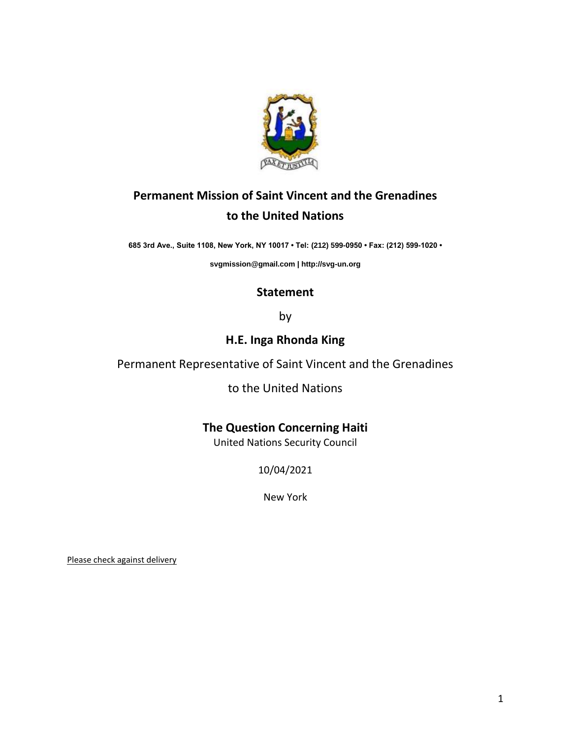

# **Permanent Mission of Saint Vincent and the Grenadines to the United Nations**

**685 3rd Ave., Suite 1108, New York, NY 10017 • Tel: (212) 599-0950 • Fax: (212) 599-1020 •** 

**[svgmission@gmail.com](mailto:svgmission@gmail.com) [| http://svg-un.org](http://svg-un.org/)**

### **Statement**

by

## **H.E. Inga Rhonda King**

Permanent Representative of Saint Vincent and the Grenadines

to the United Nations

**The Question Concerning Haiti**

United Nations Security Council

10/04/2021

New York

Please check against delivery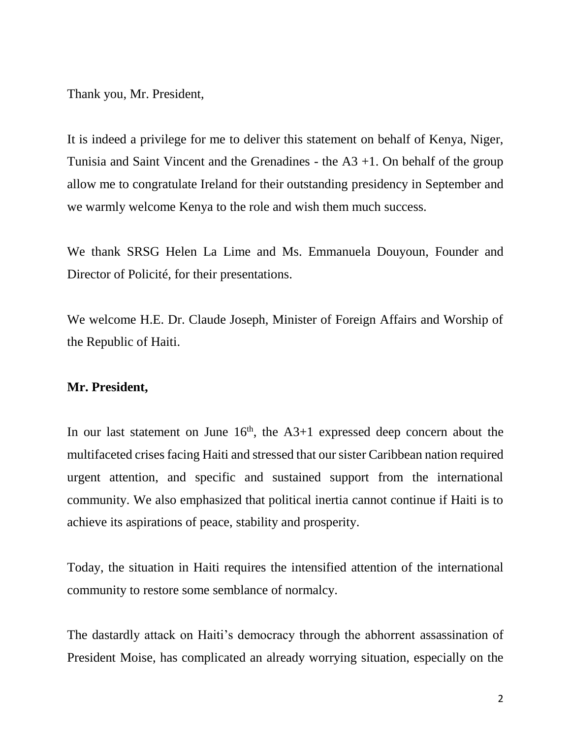Thank you, Mr. President,

It is indeed a privilege for me to deliver this statement on behalf of Kenya, Niger, Tunisia and Saint Vincent and the Grenadines - the  $A3 + 1$ . On behalf of the group allow me to congratulate Ireland for their outstanding presidency in September and we warmly welcome Kenya to the role and wish them much success.

We thank SRSG Helen La Lime and Ms. Emmanuela Douyoun, Founder and Director of Policité, for their presentations.

We welcome H.E. Dr. Claude Joseph, Minister of Foreign Affairs and Worship of the Republic of Haiti.

#### **Mr. President,**

In our last statement on June  $16<sup>th</sup>$ , the A3+1 expressed deep concern about the multifaceted crises facing Haiti and stressed that our sister Caribbean nation required urgent attention, and specific and sustained support from the international community. We also emphasized that political inertia cannot continue if Haiti is to achieve its aspirations of peace, stability and prosperity.

Today, the situation in Haiti requires the intensified attention of the international community to restore some semblance of normalcy.

The dastardly attack on Haiti's democracy through the abhorrent assassination of President Moise, has complicated an already worrying situation, especially on the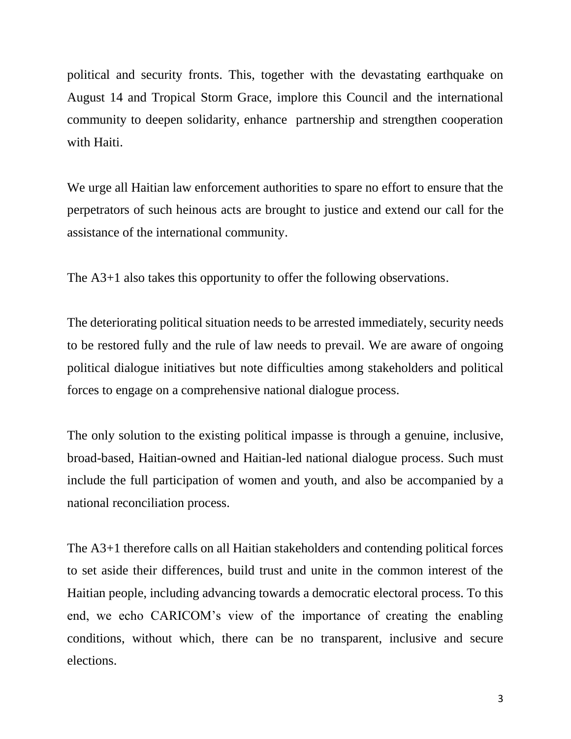political and security fronts. This, together with the devastating earthquake on August 14 and Tropical Storm Grace, implore this Council and the international community to deepen solidarity, enhance partnership and strengthen cooperation with Haiti.

We urge all Haitian law enforcement authorities to spare no effort to ensure that the perpetrators of such heinous acts are brought to justice and extend our call for the assistance of the international community.

The A3+1 also takes this opportunity to offer the following observations.

The deteriorating political situation needs to be arrested immediately, security needs to be restored fully and the rule of law needs to prevail. We are aware of ongoing political dialogue initiatives but note difficulties among stakeholders and political forces to engage on a comprehensive national dialogue process.

The only solution to the existing political impasse is through a genuine, inclusive, broad-based, Haitian-owned and Haitian-led national dialogue process. Such must include the full participation of women and youth, and also be accompanied by a national reconciliation process.

The A3+1 therefore calls on all Haitian stakeholders and contending political forces to set aside their differences, build trust and unite in the common interest of the Haitian people, including advancing towards a democratic electoral process. To this end, we echo CARICOM's view of the importance of creating the enabling conditions, without which, there can be no transparent, inclusive and secure elections.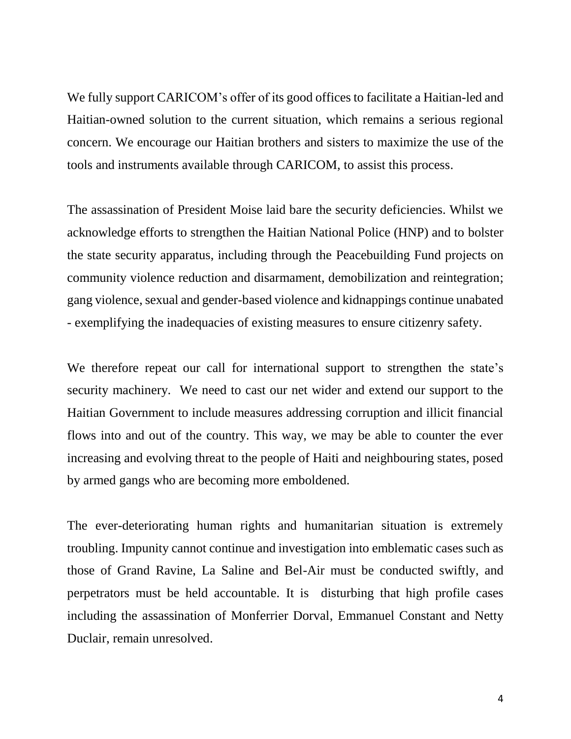We fully support CARICOM's offer of its good offices to facilitate a Haitian-led and Haitian-owned solution to the current situation, which remains a serious regional concern. We encourage our Haitian brothers and sisters to maximize the use of the tools and instruments available through CARICOM, to assist this process.

The assassination of President Moise laid bare the security deficiencies. Whilst we acknowledge efforts to strengthen the Haitian National Police (HNP) and to bolster the state security apparatus, including through the Peacebuilding Fund projects on community violence reduction and disarmament, demobilization and reintegration; gang violence, sexual and gender-based violence and kidnappings continue unabated - exemplifying the inadequacies of existing measures to ensure citizenry safety.

We therefore repeat our call for international support to strengthen the state's security machinery. We need to cast our net wider and extend our support to the Haitian Government to include measures addressing corruption and illicit financial flows into and out of the country. This way, we may be able to counter the ever increasing and evolving threat to the people of Haiti and neighbouring states, posed by armed gangs who are becoming more emboldened.

The ever-deteriorating human rights and humanitarian situation is extremely troubling. Impunity cannot continue and investigation into emblematic cases such as those of Grand Ravine, La Saline and Bel-Air must be conducted swiftly, and perpetrators must be held accountable. It is disturbing that high profile cases including the assassination of Monferrier Dorval, Emmanuel Constant and Netty Duclair, remain unresolved.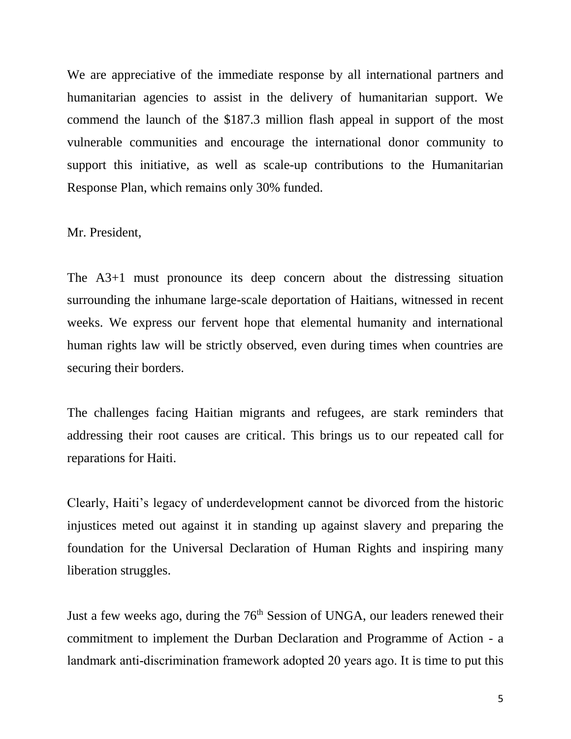We are appreciative of the immediate response by all international partners and humanitarian agencies to assist in the delivery of humanitarian support. We commend the launch of the \$187.3 million flash appeal in support of the most vulnerable communities and encourage the international donor community to support this initiative, as well as scale-up contributions to the Humanitarian Response Plan, which remains only 30% funded.

### Mr. President,

The A3+1 must pronounce its deep concern about the distressing situation surrounding the inhumane large-scale deportation of Haitians, witnessed in recent weeks. We express our fervent hope that elemental humanity and international human rights law will be strictly observed, even during times when countries are securing their borders.

The challenges facing Haitian migrants and refugees, are stark reminders that addressing their root causes are critical. This brings us to our repeated call for reparations for Haiti.

Clearly, Haiti's legacy of underdevelopment cannot be divorced from the historic injustices meted out against it in standing up against slavery and preparing the foundation for the Universal Declaration of Human Rights and inspiring many liberation struggles.

Just a few weeks ago, during the 76<sup>th</sup> Session of UNGA, our leaders renewed their commitment to implement the Durban Declaration and Programme of Action - a landmark anti-discrimination framework adopted 20 years ago. It is time to put this